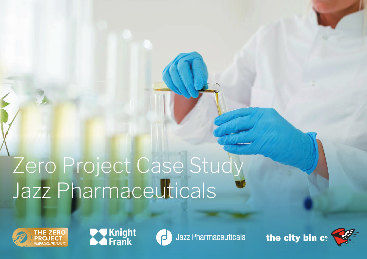# Zero Project Case Study Jazz Pharmaceuticals







**Jazz Pharmaceuticals** 

the city bin c: